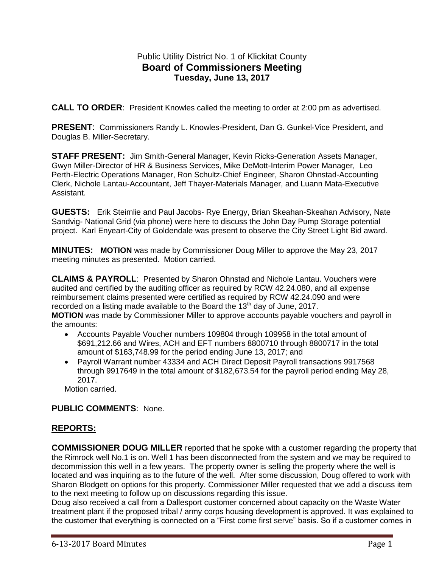## Public Utility District No. 1 of Klickitat County **Board of Commissioners Meeting Tuesday, June 13, 2017**

**CALL TO ORDER**: President Knowles called the meeting to order at 2:00 pm as advertised.

**PRESENT**: Commissioners Randy L. Knowles-President, Dan G. Gunkel-Vice President, and Douglas B. Miller-Secretary.

**STAFF PRESENT:** Jim Smith-General Manager, Kevin Ricks-Generation Assets Manager, Gwyn Miller-Director of HR & Business Services, Mike DeMott-Interim Power Manager, Leo Perth-Electric Operations Manager, Ron Schultz-Chief Engineer, Sharon Ohnstad-Accounting Clerk, Nichole Lantau-Accountant, Jeff Thayer-Materials Manager, and Luann Mata-Executive Assistant.

**GUESTS:** Erik Steimlie and Paul Jacobs- Rye Energy, Brian Skeahan-Skeahan Advisory, Nate Sandvig- National Grid (via phone) were here to discuss the John Day Pump Storage potential project. Karl Enyeart-City of Goldendale was present to observe the City Street Light Bid award.

**MINUTES: MOTION** was made by Commissioner Doug Miller to approve the May 23, 2017 meeting minutes as presented. Motion carried.

**CLAIMS & PAYROLL**: Presented by Sharon Ohnstad and Nichole Lantau. Vouchers were audited and certified by the auditing officer as required by RCW 42.24.080, and all expense reimbursement claims presented were certified as required by RCW 42.24.090 and were recorded on a listing made available to the Board the  $13<sup>th</sup>$  day of June, 2017. **MOTION** was made by Commissioner Miller to approve accounts payable vouchers and payroll in the amounts:

- Accounts Payable Voucher numbers 109804 through 109958 in the total amount of \$691,212.66 and Wires, ACH and EFT numbers 8800710 through 8800717 in the total amount of \$163,748.99 for the period ending June 13, 2017; and
- Payroll Warrant number 43334 and ACH Direct Deposit Payroll transactions 9917568 through 9917649 in the total amount of \$182,673.54 for the payroll period ending May 28, 2017.

Motion carried.

#### **PUBLIC COMMENTS**: None.

## **REPORTS:**

**COMMISSIONER DOUG MILLER** reported that he spoke with a customer regarding the property that the Rimrock well No.1 is on. Well 1 has been disconnected from the system and we may be required to decommission this well in a few years. The property owner is selling the property where the well is located and was inquiring as to the future of the well. After some discussion, Doug offered to work with Sharon Blodgett on options for this property. Commissioner Miller requested that we add a discuss item to the next meeting to follow up on discussions regarding this issue.

Doug also received a call from a Dallesport customer concerned about capacity on the Waste Water treatment plant if the proposed tribal / army corps housing development is approved. It was explained to the customer that everything is connected on a "First come first serve" basis. So if a customer comes in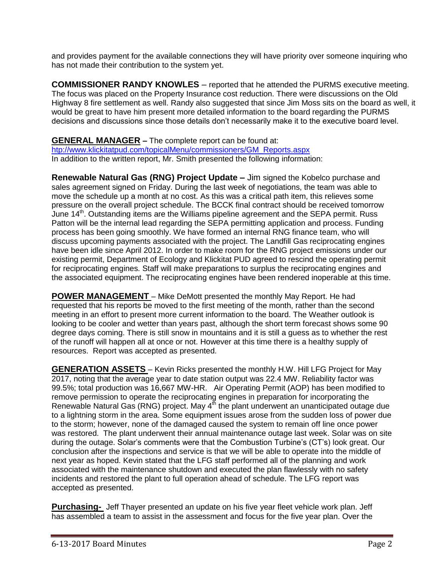and provides payment for the available connections they will have priority over someone inquiring who has not made their contribution to the system yet.

**COMMISSIONER RANDY KNOWLES** – reported that he attended the PURMS executive meeting. The focus was placed on the Property Insurance cost reduction. There were discussions on the Old Highway 8 fire settlement as well. Randy also suggested that since Jim Moss sits on the board as well, it would be great to have him present more detailed information to the board regarding the PURMS decisions and discussions since those details don't necessarily make it to the executive board level.

**GENERAL MANAGER –** The complete report can be found at: [htp://www.klickitatpud.com/topicalMenu/commissioners/GM\\_Reports.aspx](http://www.klickitatpud.com/topicalMenu/commissioners/GM_Reports.aspx) In addition to the written report, Mr. Smith presented the following information:

**Renewable Natural Gas (RNG) Project Update –** Jim signed the Kobelco purchase and sales agreement signed on Friday. During the last week of negotiations, the team was able to move the schedule up a month at no cost. As this was a critical path item, this relieves some pressure on the overall project schedule. The BCCK final contract should be received tomorrow June 14<sup>th</sup>. Outstanding items are the Williams pipeline agreement and the SEPA permit. Russ Patton will be the internal lead regarding the SEPA permitting application and process. Funding process has been going smoothly. We have formed an internal RNG finance team, who will discuss upcoming payments associated with the project. The Landfill Gas reciprocating engines have been idle since April 2012. In order to make room for the RNG project emissions under our existing permit, Department of Ecology and Klickitat PUD agreed to rescind the operating permit for reciprocating engines. Staff will make preparations to surplus the reciprocating engines and the associated equipment. The reciprocating engines have been rendered inoperable at this time.

**POWER MANAGEMENT** – Mike DeMott presented the monthly May Report. He had requested that his reports be moved to the first meeting of the month, rather than the second meeting in an effort to present more current information to the board. The Weather outlook is looking to be cooler and wetter than years past, although the short term forecast shows some 90 degree days coming. There is still snow in mountains and it is still a guess as to whether the rest of the runoff will happen all at once or not. However at this time there is a healthy supply of resources. Report was accepted as presented.

**GENERATION ASSETS** – Kevin Ricks presented the monthly H.W. Hill LFG Project for May 2017, noting that the average year to date station output was 22.4 MW. Reliability factor was 99.5%; total production was 16,667 MW-HR. Air Operating Permit (AOP) has been modified to remove permission to operate the reciprocating engines in preparation for incorporating the Renewable Natural Gas (RNG) project. May  $4<sup>th</sup>$  the plant underwent an unanticipated outage due to a lightning storm in the area. Some equipment issues arose from the sudden loss of power due to the storm; however, none of the damaged caused the system to remain off line once power was restored. The plant underwent their annual maintenance outage last week. Solar was on site during the outage. Solar's comments were that the Combustion Turbine's (CT's) look great. Our conclusion after the inspections and service is that we will be able to operate into the middle of next year as hoped. Kevin stated that the LFG staff performed all of the planning and work associated with the maintenance shutdown and executed the plan flawlessly with no safety incidents and restored the plant to full operation ahead of schedule. The LFG report was accepted as presented.

**Purchasing-** Jeff Thayer presented an update on his five year fleet vehicle work plan. Jeff has assembled a team to assist in the assessment and focus for the five year plan. Over the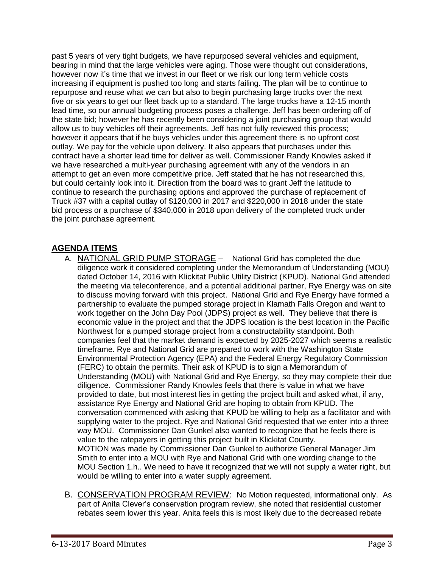past 5 years of very tight budgets, we have repurposed several vehicles and equipment, bearing in mind that the large vehicles were aging. Those were thought out considerations, however now it's time that we invest in our fleet or we risk our long term vehicle costs increasing if equipment is pushed too long and starts failing. The plan will be to continue to repurpose and reuse what we can but also to begin purchasing large trucks over the next five or six years to get our fleet back up to a standard. The large trucks have a 12-15 month lead time, so our annual budgeting process poses a challenge. Jeff has been ordering off of the state bid; however he has recently been considering a joint purchasing group that would allow us to buy vehicles off their agreements. Jeff has not fully reviewed this process; however it appears that if he buys vehicles under this agreement there is no upfront cost outlay. We pay for the vehicle upon delivery. It also appears that purchases under this contract have a shorter lead time for deliver as well. Commissioner Randy Knowles asked if we have researched a multi-year purchasing agreement with any of the vendors in an attempt to get an even more competitive price. Jeff stated that he has not researched this, but could certainly look into it. Direction from the board was to grant Jeff the latitude to continue to research the purchasing options and approved the purchase of replacement of Truck #37 with a capital outlay of \$120,000 in 2017 and \$220,000 in 2018 under the state bid process or a purchase of \$340,000 in 2018 upon delivery of the completed truck under the joint purchase agreement.

# **AGENDA ITEMS**

- A. NATIONAL GRID PUMP STORAGE National Grid has completed the due diligence work it considered completing under the Memorandum of Understanding (MOU) dated October 14, 2016 with Klickitat Public Utility District (KPUD). National Grid attended the meeting via teleconference, and a potential additional partner, Rye Energy was on site to discuss moving forward with this project. National Grid and Rye Energy have formed a partnership to evaluate the pumped storage project in Klamath Falls Oregon and want to work together on the John Day Pool (JDPS) project as well. They believe that there is economic value in the project and that the JDPS location is the best location in the Pacific Northwest for a pumped storage project from a constructability standpoint. Both companies feel that the market demand is expected by 2025-2027 which seems a realistic timeframe. Rye and National Grid are prepared to work with the Washington State Environmental Protection Agency (EPA) and the Federal Energy Regulatory Commission (FERC) to obtain the permits. Their ask of KPUD is to sign a Memorandum of Understanding (MOU) with National Grid and Rye Energy, so they may complete their due diligence. Commissioner Randy Knowles feels that there is value in what we have provided to date, but most interest lies in getting the project built and asked what, if any, assistance Rye Energy and National Grid are hoping to obtain from KPUD. The conversation commenced with asking that KPUD be willing to help as a facilitator and with supplying water to the project. Rye and National Grid requested that we enter into a three way MOU. Commissioner Dan Gunkel also wanted to recognize that he feels there is value to the ratepayers in getting this project built in Klickitat County. MOTION was made by Commissioner Dan Gunkel to authorize General Manager Jim Smith to enter into a MOU with Rye and National Grid with one wording change to the MOU Section 1.h.. We need to have it recognized that we will not supply a water right, but would be willing to enter into a water supply agreement.
- B. CONSERVATION PROGRAM REVIEW: No Motion requested, informational only. As part of Anita Clever's conservation program review, she noted that residential customer rebates seem lower this year. Anita feels this is most likely due to the decreased rebate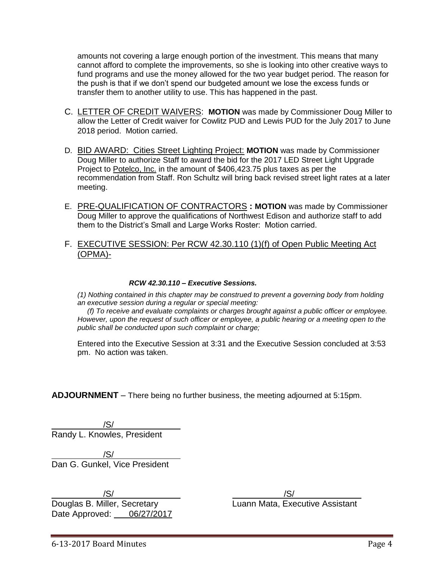amounts not covering a large enough portion of the investment. This means that many cannot afford to complete the improvements, so she is looking into other creative ways to fund programs and use the money allowed for the two year budget period. The reason for the push is that if we don't spend our budgeted amount we lose the excess funds or transfer them to another utility to use. This has happened in the past.

- C. LETTER OF CREDIT WAIVERS: **MOTION** was made by Commissioner Doug Miller to allow the Letter of Credit waiver for Cowlitz PUD and Lewis PUD for the July 2017 to June 2018 period. Motion carried.
- D. BID AWARD: Cities Street Lighting Project: **MOTION** was made by Commissioner Doug Miller to authorize Staff to award the bid for the 2017 LED Street Light Upgrade Project to Potelco, Inc. in the amount of \$406,423.75 plus taxes as per the recommendation from Staff. Ron Schultz will bring back revised street light rates at a later meeting.
- E. PRE-QUALIFICATION OF CONTRACTORS **: MOTION** was made by Commissioner Doug Miller to approve the qualifications of Northwest Edison and authorize staff to add them to the District's Small and Large Works Roster: Motion carried.
- F. EXECUTIVE SESSION: Per RCW 42.30.110 (1)(f) of Open Public Meeting Act (OPMA)-

#### *RCW 42.30.110 – Executive Sessions.*

*(1) Nothing contained in this chapter may be construed to prevent a governing body from holding an executive session during a regular or special meeting:*

 *(f) To receive and evaluate complaints or charges brought against a public officer or employee. However, upon the request of such officer or employee, a public hearing or a meeting open to the public shall be conducted upon such complaint or charge;*

Entered into the Executive Session at 3:31 and the Executive Session concluded at 3:53 pm. No action was taken.

**ADJOURNMENT** – There being no further business, the meeting adjourned at 5:15pm.

/S/ Randy L. Knowles, President

/S/ Dan G. Gunkel, Vice President

/S/ /S/ Douglas B. Miller, Secretary **Luann Mata, Executive Assistant** Date Approved: 06/27/2017

6-13-2017 Board Minutes Page 4